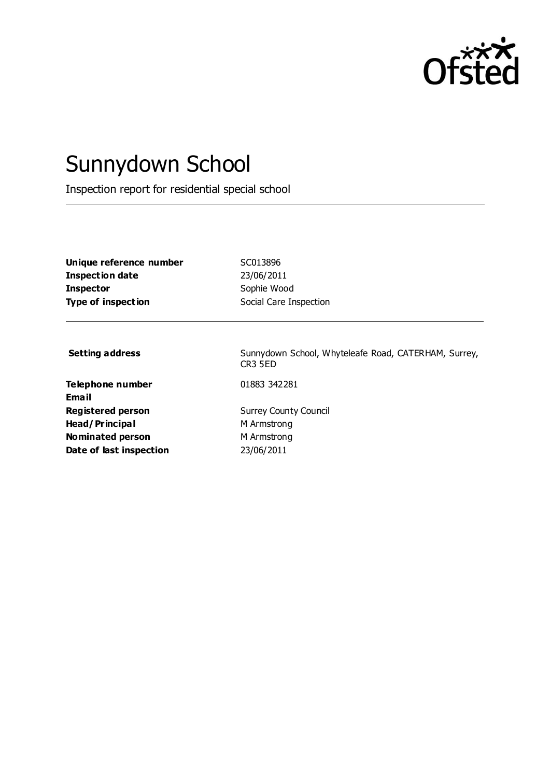

# Sunnydown School

Inspection report for residential special school

| Unique reference number | SC013896               |
|-------------------------|------------------------|
| Inspection date         | 23/06/2011             |
| <b>Inspector</b>        | Sophie Wood            |
| Type of inspection      | Social Care Inspection |

**Telephone number** 01883 342281 **Email Registered person** Surrey County Council **Head/Principal** M Armstrong **Nominated person** M Armstrong **Date of last inspection** 23/06/2011

**Setting address** Sunnydown School, Whyteleafe Road, CATERHAM, Surrey, CR3 5ED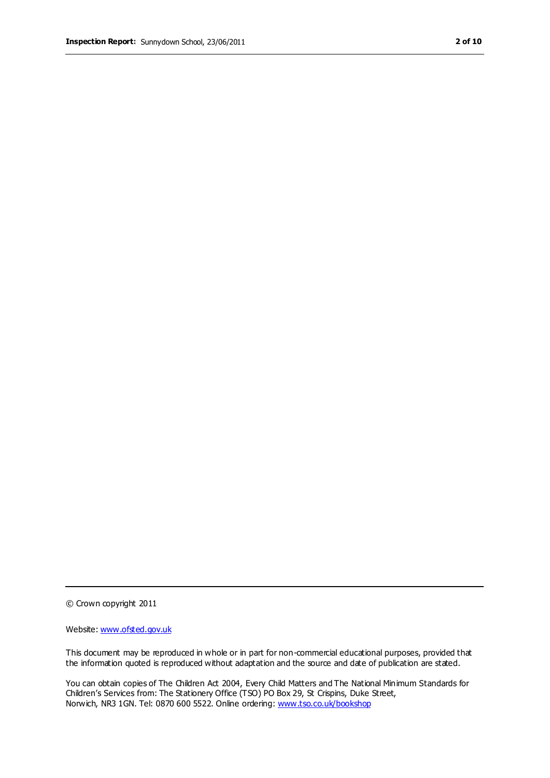© Crown copyright 2011

Website: www.ofsted.gov.uk

This document may be reproduced in whole or in part for non-commercial educational purposes, provided that the information quoted is reproduced without adaptation and the source and date of publication are stated.

You can obtain copies of The Children Act 2004, Every Child Matters and The National Minimum Standards for Children's Services from: The Stationery Office (TSO) PO Box 29, St Crispins, Duke Street, Norwich, NR3 1GN. Tel: 0870 600 5522. Online ordering: www.tso.co.uk/bookshop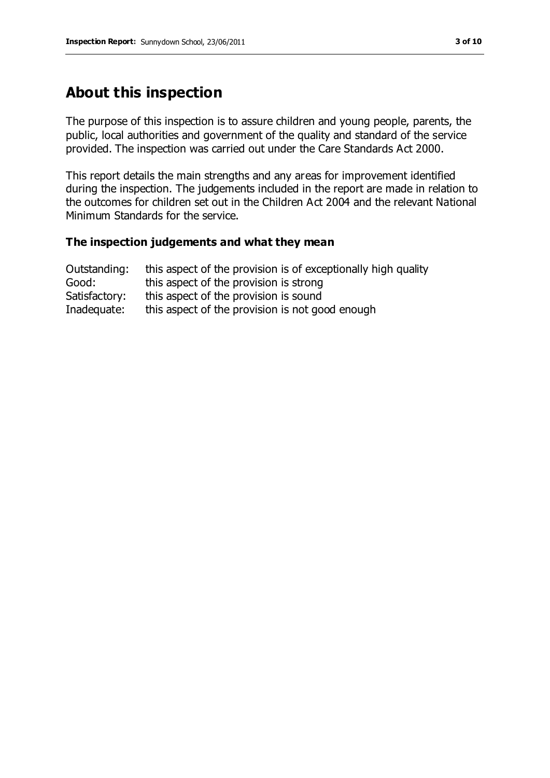# **About this inspection**

The purpose of this inspection is to assure children and young people, parents, the public, local authorities and government of the quality and standard of the service provided. The inspection was carried out under the Care Standards Act 2000.

This report details the main strengths and any areas for improvement identified during the inspection. The judgements included in the report are made in relation to the outcomes for children set out in the Children Act 2004 and the relevant National Minimum Standards for the service.

#### **The inspection judgements and what they mean**

| Outstanding:  | this aspect of the provision is of exceptionally high quality |
|---------------|---------------------------------------------------------------|
| Good:         | this aspect of the provision is strong                        |
| Satisfactory: | this aspect of the provision is sound                         |
| Inadequate:   | this aspect of the provision is not good enough               |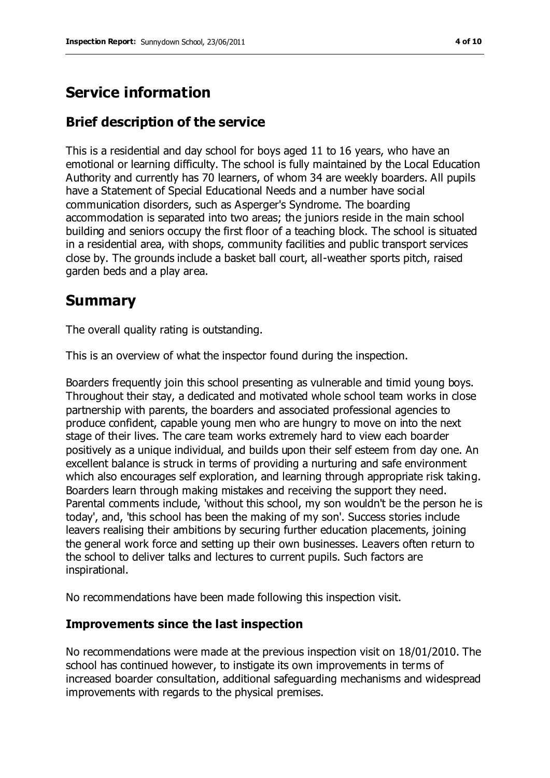## **Service information**

### **Brief description of the service**

This is a residential and day school for boys aged 11 to 16 years, who have an emotional or learning difficulty. The school is fully maintained by the Local Education Authority and currently has 70 learners, of whom 34 are weekly boarders. All pupils have a Statement of Special Educational Needs and a number have social communication disorders, such as Asperger's Syndrome. The boarding accommodation is separated into two areas; the juniors reside in the main school building and seniors occupy the first floor of a teaching block. The school is situated in a residential area, with shops, community facilities and public transport services close by. The grounds include a basket ball court, all-weather sports pitch, raised garden beds and a play area.

## **Summary**

The overall quality rating is outstanding.

This is an overview of what the inspector found during the inspection.

Boarders frequently join this school presenting as vulnerable and timid young boys. Throughout their stay, a dedicated and motivated whole school team works in close partnership with parents, the boarders and associated professional agencies to produce confident, capable young men who are hungry to move on into the next stage of their lives. The care team works extremely hard to view each boarder positively as a unique individual, and builds upon their self esteem from day one. An excellent balance is struck in terms of providing a nurturing and safe environment which also encourages self exploration, and learning through appropriate risk taking. Boarders learn through making mistakes and receiving the support they need. Parental comments include, 'without this school, my son wouldn't be the person he is today', and, 'this school has been the making of my son'. Success stories include leavers realising their ambitions by securing further education placements, joining the general work force and setting up their own businesses. Leavers often return to the school to deliver talks and lectures to current pupils. Such factors are inspirational.

No recommendations have been made following this inspection visit.

#### **Improvements since the last inspection**

No recommendations were made at the previous inspection visit on 18/01/2010. The school has continued however, to instigate its own improvements in terms of increased boarder consultation, additional safeguarding mechanisms and widespread improvements with regards to the physical premises.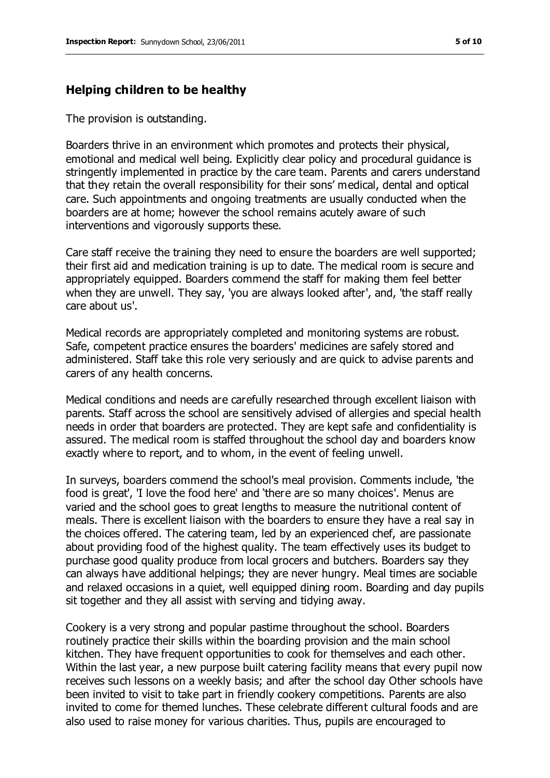#### **Helping children to be healthy**

The provision is outstanding.

Boarders thrive in an environment which promotes and protects their physical, emotional and medical well being. Explicitly clear policy and procedural guidance is stringently implemented in practice by the care team. Parents and carers understand that they retain the overall responsibility for their sons' medical, dental and optical care. Such appointments and ongoing treatments are usually conducted when the boarders are at home; however the school remains acutely aware of such interventions and vigorously supports these.

Care staff receive the training they need to ensure the boarders are well supported; their first aid and medication training is up to date. The medical room is secure and appropriately equipped. Boarders commend the staff for making them feel better when they are unwell. They say, 'you are always looked after', and, 'the staff really care about us'.

Medical records are appropriately completed and monitoring systems are robust. Safe, competent practice ensures the boarders' medicines are safely stored and administered. Staff take this role very seriously and are quick to advise parents and carers of any health concerns.

Medical conditions and needs are carefully researched through excellent liaison with parents. Staff across the school are sensitively advised of allergies and special health needs in order that boarders are protected. They are kept safe and confidentiality is assured. The medical room is staffed throughout the school day and boarders know exactly where to report, and to whom, in the event of feeling unwell.

In surveys, boarders commend the school's meal provision. Comments include, 'the food is great', 'I love the food here' and 'there are so many choices'. Menus are varied and the school goes to great lengths to measure the nutritional content of meals. There is excellent liaison with the boarders to ensure they have a real say in the choices offered. The catering team, led by an experienced chef, are passionate about providing food of the highest quality. The team effectively uses its budget to purchase good quality produce from local grocers and butchers. Boarders say they can always have additional helpings; they are never hungry. Meal times are sociable and relaxed occasions in a quiet, well equipped dining room. Boarding and day pupils sit together and they all assist with serving and tidying away.

Cookery is a very strong and popular pastime throughout the school. Boarders routinely practice their skills within the boarding provision and the main school kitchen. They have frequent opportunities to cook for themselves and each other. Within the last year, a new purpose built catering facility means that every pupil now receives such lessons on a weekly basis; and after the school day Other schools have been invited to visit to take part in friendly cookery competitions. Parents are also invited to come for themed lunches. These celebrate different cultural foods and are also used to raise money for various charities. Thus, pupils are encouraged to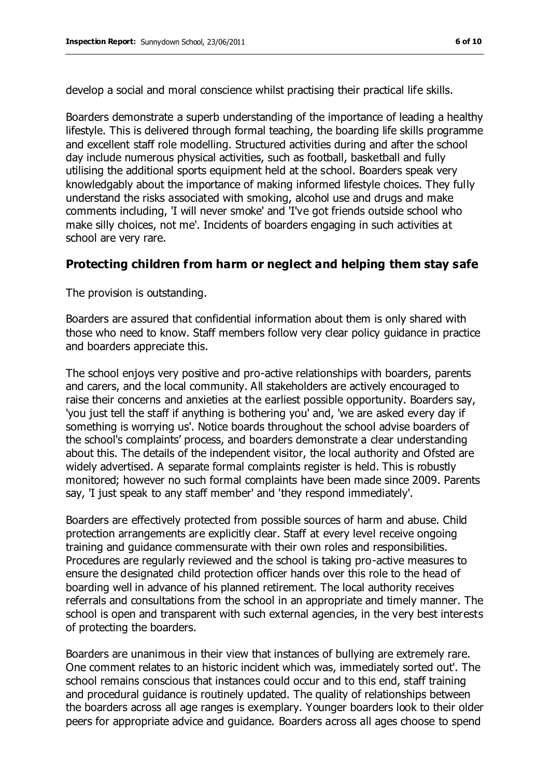develop a social and moral conscience whilst practising their practical life skills.

Boarders demonstrate a superb understanding of the importance of leading a healthy lifestyle. This is delivered through formal teaching, the boarding life skills programme and excellent staff role modelling. Structured activities during and after the school day include numerous physical activities, such as football, basketball and fully utilising the additional sports equipment held at the school. Boarders speak very knowledgably about the importance of making informed lifestyle choices. They fully understand the risks associated with smoking, alcohol use and drugs and make comments including, 'I will never smoke' and 'I've got friends outside school who make silly choices, not me'. Incidents of boarders engaging in such activities at school are very rare.

#### **Protecting children from harm or neglect and helping them stay safe**

The provision is outstanding.

Boarders are assured that confidential information about them is only shared with those who need to know. Staff members follow very clear policy guidance in practice and boarders appreciate this.

The school enjoys very positive and pro-active relationships with boarders, parents and carers, and the local community. All stakeholders are actively encouraged to raise their concerns and anxieties at the earliest possible opportunity. Boarders say, 'you just tell the staff if anything is bothering you' and, 'we are asked every day if something is worrying us'. Notice boards throughout the school advise boarders of the school's complaints' process, and boarders demonstrate a clear understanding about this. The details of the independent visitor, the local authority and Ofsted are widely advertised. A separate formal complaints register is held. This is robustly monitored; however no such formal complaints have been made since 2009. Parents say, 'I just speak to any staff member' and 'they respond immediately'.

Boarders are effectively protected from possible sources of harm and abuse. Child protection arrangements are explicitly clear. Staff at every level receive ongoing training and guidance commensurate with their own roles and responsibilities. Procedures are regularly reviewed and the school is taking pro-active measures to ensure the designated child protection officer hands over this role to the head of boarding well in advance of his planned retirement. The local authority receives referrals and consultations from the school in an appropriate and timely manner. The school is open and transparent with such external agencies, in the very best interests of protecting the boarders.

Boarders are unanimous in their view that instances of bullying are extremely rare. One comment relates to an historic incident which was, immediately sorted out'. The school remains conscious that instances could occur and to this end, staff training and procedural guidance is routinely updated. The quality of relationships between the boarders across all age ranges is exemplary. Younger boarders look to their older peers for appropriate advice and guidance. Boarders across all ages choose to spend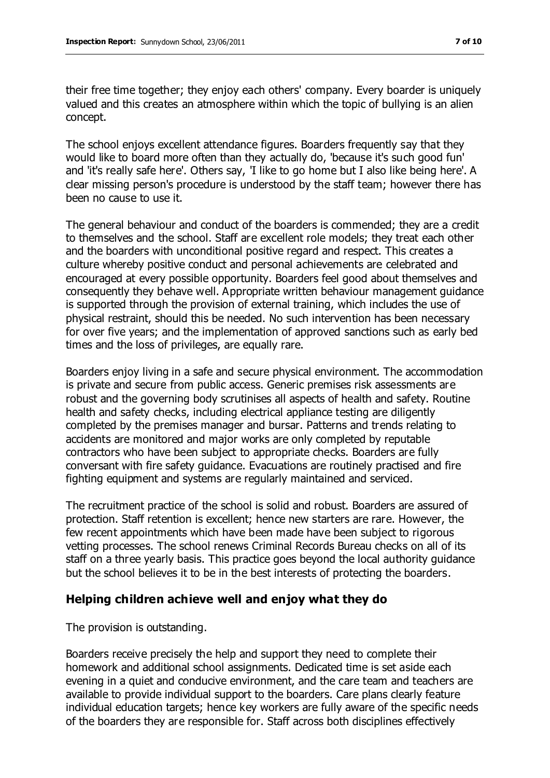their free time together; they enjoy each others' company. Every boarder is uniquely valued and this creates an atmosphere within which the topic of bullying is an alien concept.

The school enjoys excellent attendance figures. Boarders frequently say that they would like to board more often than they actually do, 'because it's such good fun' and 'it's really safe here'. Others say, 'I like to go home but I also like being here'. A clear missing person's procedure is understood by the staff team; however there has been no cause to use it.

The general behaviour and conduct of the boarders is commended; they are a credit to themselves and the school. Staff are excellent role models; they treat each other and the boarders with unconditional positive regard and respect. This creates a culture whereby positive conduct and personal achievements are celebrated and encouraged at every possible opportunity. Boarders feel good about themselves and consequently they behave well. Appropriate written behaviour management guidance is supported through the provision of external training, which includes the use of physical restraint, should this be needed. No such intervention has been necessary for over five years; and the implementation of approved sanctions such as early bed times and the loss of privileges, are equally rare.

Boarders enjoy living in a safe and secure physical environment. The accommodation is private and secure from public access. Generic premises risk assessments are robust and the governing body scrutinises all aspects of health and safety. Routine health and safety checks, including electrical appliance testing are diligently completed by the premises manager and bursar. Patterns and trends relating to accidents are monitored and major works are only completed by reputable contractors who have been subject to appropriate checks. Boarders are fully conversant with fire safety guidance. Evacuations are routinely practised and fire fighting equipment and systems are regularly maintained and serviced.

The recruitment practice of the school is solid and robust. Boarders are assured of protection. Staff retention is excellent; hence new starters are rare. However, the few recent appointments which have been made have been subject to rigorous vetting processes. The school renews Criminal Records Bureau checks on all of its staff on a three yearly basis. This practice goes beyond the local authority guidance but the school believes it to be in the best interests of protecting the boarders.

#### **Helping children achieve well and enjoy what they do**

The provision is outstanding.

Boarders receive precisely the help and support they need to complete their homework and additional school assignments. Dedicated time is set aside each evening in a quiet and conducive environment, and the care team and teachers are available to provide individual support to the boarders. Care plans clearly feature individual education targets; hence key workers are fully aware of the specific needs of the boarders they are responsible for. Staff across both disciplines effectively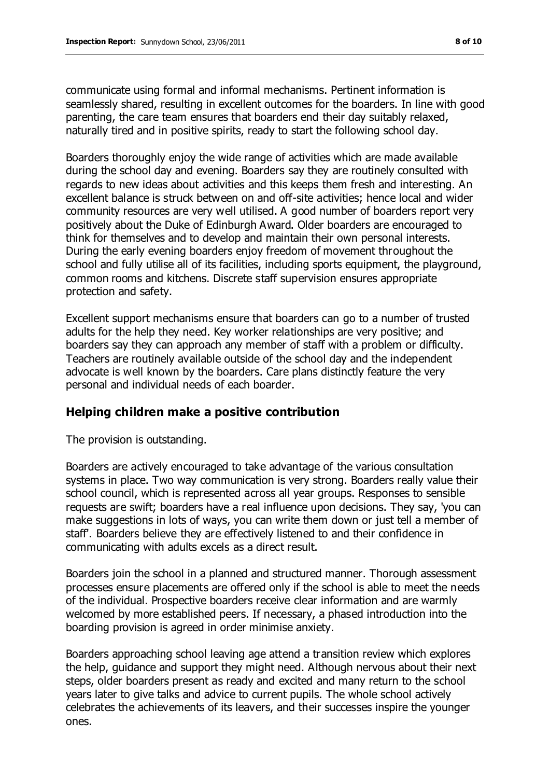communicate using formal and informal mechanisms. Pertinent information is seamlessly shared, resulting in excellent outcomes for the boarders. In line with good parenting, the care team ensures that boarders end their day suitably relaxed, naturally tired and in positive spirits, ready to start the following school day.

Boarders thoroughly enjoy the wide range of activities which are made available during the school day and evening. Boarders say they are routinely consulted with regards to new ideas about activities and this keeps them fresh and interesting. An excellent balance is struck between on and off-site activities; hence local and wider community resources are very well utilised. A good number of boarders report very positively about the Duke of Edinburgh Award. Older boarders are encouraged to think for themselves and to develop and maintain their own personal interests. During the early evening boarders enjoy freedom of movement throughout the school and fully utilise all of its facilities, including sports equipment, the playground, common rooms and kitchens. Discrete staff supervision ensures appropriate protection and safety.

Excellent support mechanisms ensure that boarders can go to a number of trusted adults for the help they need. Key worker relationships are very positive; and boarders say they can approach any member of staff with a problem or difficulty. Teachers are routinely available outside of the school day and the independent advocate is well known by the boarders. Care plans distinctly feature the very personal and individual needs of each boarder.

## **Helping children make a positive contribution**

The provision is outstanding.

Boarders are actively encouraged to take advantage of the various consultation systems in place. Two way communication is very strong. Boarders really value their school council, which is represented across all year groups. Responses to sensible requests are swift; boarders have a real influence upon decisions. They say, 'you can make suggestions in lots of ways, you can write them down or just tell a member of staff'. Boarders believe they are effectively listened to and their confidence in communicating with adults excels as a direct result.

Boarders join the school in a planned and structured manner. Thorough assessment processes ensure placements are offered only if the school is able to meet the needs of the individual. Prospective boarders receive clear information and are warmly welcomed by more established peers. If necessary, a phased introduction into the boarding provision is agreed in order minimise anxiety.

Boarders approaching school leaving age attend a transition review which explores the help, guidance and support they might need. Although nervous about their next steps, older boarders present as ready and excited and many return to the school years later to give talks and advice to current pupils. The whole school actively celebrates the achievements of its leavers, and their successes inspire the younger ones.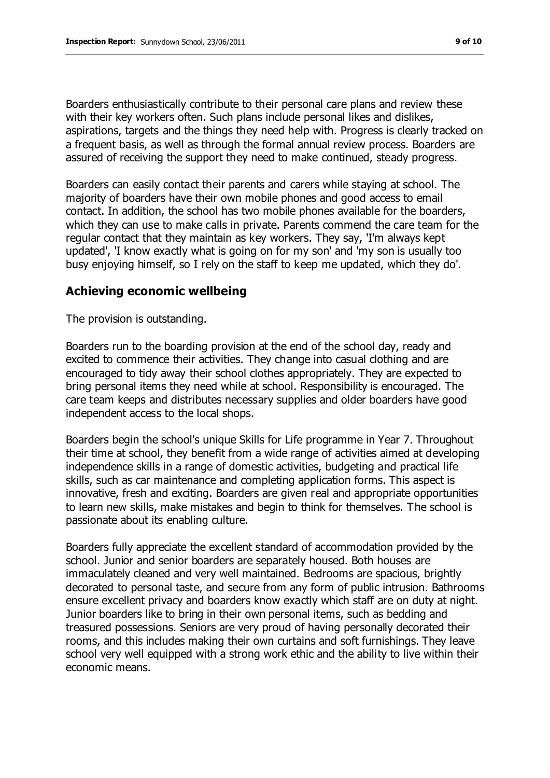Boarders enthusiastically contribute to their personal care plans and review these with their key workers often. Such plans include personal likes and dislikes, aspirations, targets and the things they need help with. Progress is clearly tracked on a frequent basis, as well as through the formal annual review process. Boarders are assured of receiving the support they need to make continued, steady progress.

Boarders can easily contact their parents and carers while staying at school. The majority of boarders have their own mobile phones and good access to email contact. In addition, the school has two mobile phones available for the boarders, which they can use to make calls in private. Parents commend the care team for the regular contact that they maintain as key workers. They say, 'I'm always kept updated', 'I know exactly what is going on for my son' and 'my son is usually too busy enjoying himself, so I rely on the staff to keep me updated, which they do'.

#### **Achieving economic wellbeing**

The provision is outstanding.

Boarders run to the boarding provision at the end of the school day, ready and excited to commence their activities. They change into casual clothing and are encouraged to tidy away their school clothes appropriately. They are expected to bring personal items they need while at school. Responsibility is encouraged. The care team keeps and distributes necessary supplies and older boarders have good independent access to the local shops.

Boarders begin the school's unique Skills for Life programme in Year 7. Throughout their time at school, they benefit from a wide range of activities aimed at developing independence skills in a range of domestic activities, budgeting and practical life skills, such as car maintenance and completing application forms. This aspect is innovative, fresh and exciting. Boarders are given real and appropriate opportunities to learn new skills, make mistakes and begin to think for themselves. The school is passionate about its enabling culture.

Boarders fully appreciate the excellent standard of accommodation provided by the school. Junior and senior boarders are separately housed. Both houses are immaculately cleaned and very well maintained. Bedrooms are spacious, brightly decorated to personal taste, and secure from any form of public intrusion. Bathrooms ensure excellent privacy and boarders know exactly which staff are on duty at night. Junior boarders like to bring in their own personal items, such as bedding and treasured possessions. Seniors are very proud of having personally decorated their rooms, and this includes making their own curtains and soft furnishings. They leave school very well equipped with a strong work ethic and the ability to live within their economic means.